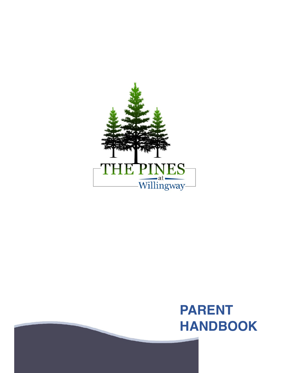

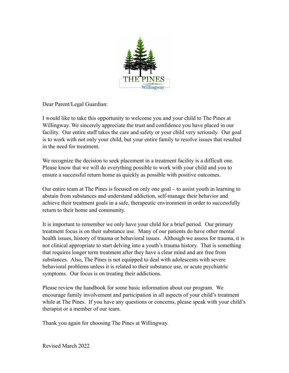

Dear Parent/Legal Guardian:

I would like to take this opportunity to welcome you and your child to The Pines at Willingway. We sincerely appreciate the trust and confidence you have placed in our facility. Our entire staff takes the care and safety or your child very seriously. Our goal is to work with not only your child, but your entire family to resolve issues that resulted in the need for treatment.

We recognize the decision to seek placement in a treatment facility is a difficult one. Please know that we will do everything possible to work with your child and you to ensure a successful return home as quickly as possible with positive outcomes.

Our entire team at The Pines is focused on only one goal – to assist youth in learning to abstain from substances and understand addiction, self-manage their behavior and achieve their treatment goals in a safe, therapeutic environment in order to successfully return to their home and community.

It is important to remember we only have your child for a brief period. Our primary treatment focus is on their substance use. Many of our patients do have other mental health issues, history of trauma or behavioral issues. Although we assess for trauma, it is not clinical appropriate to start delving into a youth's trauma history. That is something that requires longer term treatment after they have a clear mind and are free from substances. Also, The Pines is not equipped to deal with adolescents with severe behavioral problems unless it is related to their substance use, or acute psychiatric symptoms. Our focus is on treating their addictions.

Please review the handbook for some basic information about our program. We encourage family involvement and participation in all aspects of your child's treatment while at The Pines. If you have any questions or concerns, please speak with your child's therapist or a member of our team.

Thank you again for choosing The Pines at Willingway.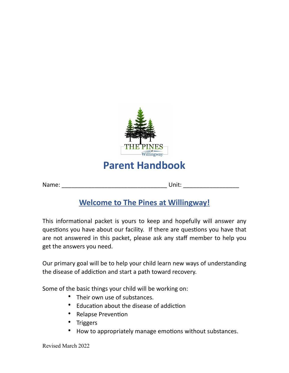

# **Welcome to The Pines at Willingway!**

This informational packet is yours to keep and hopefully will answer any questions you have about our facility. If there are questions you have that are not answered in this packet, please ask any staff member to help you get the answers you need.

Our primary goal will be to help your child learn new ways of understanding the disease of addiction and start a path toward recovery.

Some of the basic things your child will be working on:

- Their own use of substances.
- Education about the disease of addiction
- Relapse Prevention
- Triggers
- How to appropriately manage emotions without substances.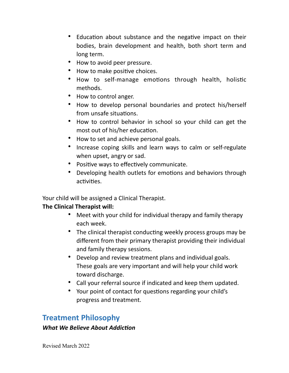- Education about substance and the negative impact on their bodies, brain development and health, both short term and long term.
- How to avoid peer pressure.
- How to make positive choices.
- How to self-manage emotions through health, holistic methods.
- How to control anger.
- How to develop personal boundaries and protect his/herself from unsafe situations.
- How to control behavior in school so your child can get the most out of his/her education.
- How to set and achieve personal goals.
- Increase coping skills and learn ways to calm or self-regulate when upset, angry or sad.
- Positive ways to effectively communicate.
- Developing health outlets for emotions and behaviors through activities.

Your child will be assigned a Clinical Therapist.

### **The Clinical Therapist will:**

- Meet with your child for individual therapy and family therapy each week.
- The clinical therapist conducting weekly process groups may be different from their primary therapist providing their individual and family therapy sessions.
- Develop and review treatment plans and individual goals. These goals are very important and will help your child work toward discharge.
- Call your referral source if indicated and keep them updated.
- Your point of contact for questions regarding your child's progress and treatment.

## **Treatment Philosophy**

#### *What We Believe About Addiction*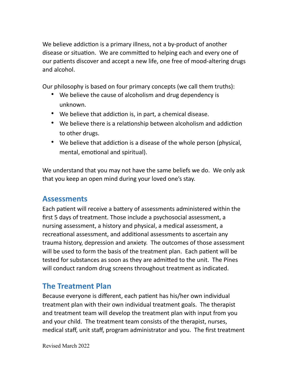We believe addiction is a primary illness, not a by-product of another disease or situation. We are committed to helping each and every one of our patients discover and accept a new life, one free of mood-altering drugs and alcohol.

Our philosophy is based on four primary concepts (we call them truths):

- We believe the cause of alcoholism and drug dependency is unknown.
- We believe that addiction is, in part, a chemical disease.
- We believe there is a relationship between alcoholism and addiction to other drugs.
- We believe that addiction is a disease of the whole person (physical, mental, emotional and spiritual).

We understand that you may not have the same beliefs we do. We only ask that you keep an open mind during your loved one's stay.

## **Assessments**

Each patient will receive a battery of assessments administered within the first 5 days of treatment. Those include a psychosocial assessment, a nursing assessment, a history and physical, a medical assessment, a recreational assessment, and additional assessments to ascertain any trauma history, depression and anxiety. The outcomes of those assessment will be used to form the basis of the treatment plan. Each patient will be tested for substances as soon as they are admitted to the unit. The Pines will conduct random drug screens throughout treatment as indicated.

## **The Treatment Plan**

Because everyone is different, each patient has his/her own individual treatment plan with their own individual treatment goals. The therapist and treatment team will develop the treatment plan with input from you and your child. The treatment team consists of the therapist, nurses, medical staff, unit staff, program administrator and you. The first treatment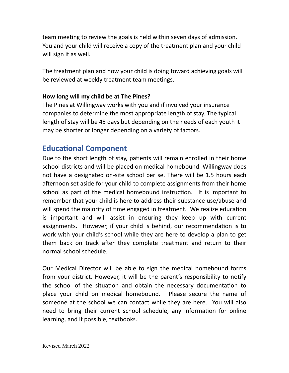team meeting to review the goals is held within seven days of admission. You and your child will receive a copy of the treatment plan and your child will sign it as well.

The treatment plan and how your child is doing toward achieving goals will be reviewed at weekly treatment team meetings.

#### **How long will my child be at The Pines?**

The Pines at Willingway works with you and if involved your insurance companies to determine the most appropriate length of stay. The typical length of stay will be 45 days but depending on the needs of each youth it may be shorter or longer depending on a variety of factors.

### **Educational Component**

Due to the short length of stay, patients will remain enrolled in their home school districts and will be placed on medical homebound. Willingway does not have a designated on-site school per se. There will be 1.5 hours each afternoon set aside for your child to complete assignments from their home school as part of the medical homebound instruction. It is important to remember that your child is here to address their substance use/abuse and will spend the majority of time engaged in treatment. We realize education is important and will assist in ensuring they keep up with current assignments. However, if your child is behind, our recommendation is to work with your child's school while they are here to develop a plan to get them back on track after they complete treatment and return to their normal school schedule.

Our Medical Director will be able to sign the medical homebound forms from your district. However, it will be the parent's responsibility to notify the school of the situation and obtain the necessary documentation to place your child on medical homebound. Please secure the name of someone at the school we can contact while they are here. You will also need to bring their current school schedule, any information for online learning, and if possible, textbooks.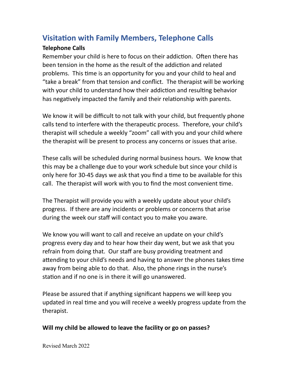## **Visitation with Family Members, Telephone Calls**

#### **Telephone Calls**

Remember your child is here to focus on their addiction. Often there has been tension in the home as the result of the addiction and related problems. This time is an opportunity for you and your child to heal and "take a break" from that tension and conflict. The therapist will be working with your child to understand how their addiction and resulting behavior has negatively impacted the family and their relationship with parents.

We know it will be difficult to not talk with your child, but frequently phone calls tend to interfere with the therapeutic process. Therefore, your child's therapist will schedule a weekly "zoom" call with you and your child where the therapist will be present to process any concerns or issues that arise.

These calls will be scheduled during normal business hours. We know that this may be a challenge due to your work schedule but since your child is only here for 30-45 days we ask that you find a time to be available for this call. The therapist will work with you to find the most convenient time.

The Therapist will provide you with a weekly update about your child's progress. If there are any incidents or problems or concerns that arise during the week our staff will contact you to make you aware.

We know you will want to call and receive an update on your child's progress every day and to hear how their day went, but we ask that you refrain from doing that. Our staff are busy providing treatment and attending to your child's needs and having to answer the phones takes time away from being able to do that. Also, the phone rings in the nurse's station and if no one is in there it will go unanswered.

Please be assured that if anything significant happens we will keep you updated in real time and you will receive a weekly progress update from the therapist.

#### **Will my child be allowed to leave the facility or go on passes?**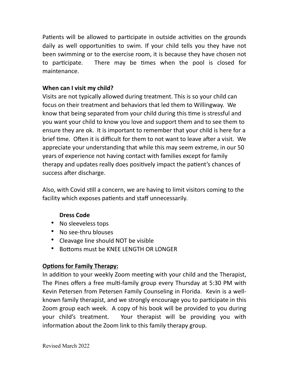Patients will be allowed to participate in outside activities on the grounds daily as well opportunities to swim. If your child tells you they have not been swimming or to the exercise room, it is because they have chosen not to participate. There may be times when the pool is closed for maintenance.

#### **When can I visit my child?**

Visits are not typically allowed during treatment. This is so your child can focus on their treatment and behaviors that led them to Willingway. We know that being separated from your child during this time is stressful and you want your child to know you love and support them and to see them to ensure they are ok. It is important to remember that your child is here for a brief time. Often it is difficult for them to not want to leave after a visit. We appreciate your understanding that while this may seem extreme, in our 50 years of experience not having contact with families except for family therapy and updates really does positively impact the patient's chances of success after discharge.

Also, with Covid still a concern, we are having to limit visitors coming to the facility which exposes patients and staff unnecessarily.

#### **Dress Code**

- No sleeveless tops
- No see-thru blouses
- Cleavage line should NOT be visible
- Bottoms must be KNEE LENGTH OR LONGER

### **Options for Family Therapy:**

In addition to your weekly Zoom meeting with your child and the Therapist, The Pines offers a free multi-family group every Thursday at 5:30 PM with Kevin Petersen from Petersen Family Counseling in Florida. Kevin is a wellknown family therapist, and we strongly encourage you to participate in this Zoom group each week. A copy of his book will be provided to you during your child's treatment. Your therapist will be providing you with information about the Zoom link to this family therapy group.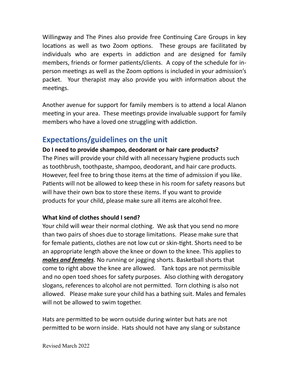Willingway and The Pines also provide free Continuing Care Groups in key locations as well as two Zoom options. These groups are facilitated by individuals who are experts in addiction and are designed for family members, friends or former patients/clients. A copy of the schedule for inperson meetings as well as the Zoom options is included in your admission's packet. Your therapist may also provide you with information about the meetings.

Another avenue for support for family members is to attend a local Alanon meeting in your area. These meetings provide invaluable support for family members who have a loved one struggling with addiction.

## **Expectations/guidelines on the unit**

**Do I need to provide shampoo, deodorant or hair care products?** The Pines will provide your child with all necessary hygiene products such as toothbrush, toothpaste, shampoo, deodorant, and hair care products. However, feel free to bring those items at the time of admission if you like. Patients will not be allowed to keep these in his room for safety reasons but will have their own box to store these items. If you want to provide products for your child, please make sure all items are alcohol free.

#### **What kind of clothes should I send?**

Your child will wear their normal clothing. We ask that you send no more than two pairs of shoes due to storage limitations. Please make sure that for female patients, clothes are not low cut or skin-tight. Shorts need to be an appropriate length above the knee or down to the knee. This applies to *males and females*. No running or jogging shorts. Basketball shorts that come to right above the knee are allowed. Tank tops are not permissible and no open toed shoes for safety purposes. Also clothing with derogatory slogans, references to alcohol are not permitted. Torn clothing is also not allowed. Please make sure your child has a bathing suit. Males and females will not be allowed to swim together.

Hats are permitted to be worn outside during winter but hats are not permitted to be worn inside. Hats should not have any slang or substance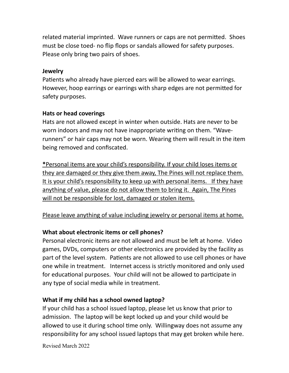related material imprinted. Wave runners or caps are not permitted. Shoes must be close toed- no flip flops or sandals allowed for safety purposes. Please only bring two pairs of shoes.

#### **Jewelry**

Patients who already have pierced ears will be allowed to wear earrings. However, hoop earrings or earrings with sharp edges are not permitted for safety purposes.

#### **Hats or head coverings**

Hats are not allowed except in winter when outside. Hats are never to be worn indoors and may not have inappropriate writing on them. "Waverunners" or hair caps may not be worn. Wearing them will result in the item being removed and confiscated.

**\***Personal items are your child's responsibility. If your child loses items or they are damaged or they give them away, The Pines will not replace them. It is your child's responsibility to keep up with personal items. If they have anything of value, please do not allow them to bring it. Again, The Pines will not be responsible for lost, damaged or stolen items.

#### Please leave anything of value including jewelry or personal items at home.

#### **What about electronic items or cell phones?**

Personal electronic items are not allowed and must be left at home. Video games, DVDs, computers or other electronics are provided by the facility as part of the level system. Patients are not allowed to use cell phones or have one while in treatment. Internet access is strictly monitored and only used for educational purposes. Your child will not be allowed to participate in any type of social media while in treatment.

#### **What if my child has a school owned laptop?**

If your child has a school issued laptop, please let us know that prior to admission. The laptop will be kept locked up and your child would be allowed to use it during school time only. Willingway does not assume any responsibility for any school issued laptops that may get broken while here.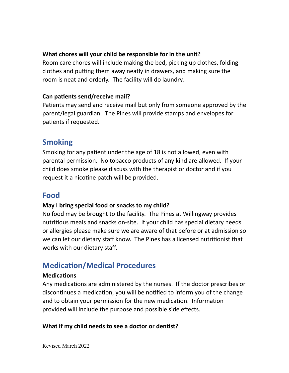#### **What chores will your child be responsible for in the unit?**

Room care chores will include making the bed, picking up clothes, folding clothes and putting them away neatly in drawers, and making sure the room is neat and orderly. The facility will do laundry.

#### **Can patients send/receive mail?**

Patients may send and receive mail but only from someone approved by the parent/legal guardian. The Pines will provide stamps and envelopes for patients if requested.

### **Smoking**

Smoking for any patient under the age of 18 is not allowed, even with parental permission. No tobacco products of any kind are allowed. If your child does smoke please discuss with the therapist or doctor and if you request it a nicotine patch will be provided.

## **Food**

#### **May I bring special food or snacks to my child?**

No food may be brought to the facility. The Pines at Willingway provides nutritious meals and snacks on-site. If your child has special dietary needs or allergies please make sure we are aware of that before or at admission so we can let our dietary staff know. The Pines has a licensed nutritionist that works with our dietary staff.

## **Medication/Medical Procedures**

#### **Medications**

Any medications are administered by the nurses. If the doctor prescribes or discontinues a medication, you will be notified to inform you of the change and to obtain your permission for the new medication. Information provided will include the purpose and possible side effects.

#### **What if my child needs to see a doctor or dentist?**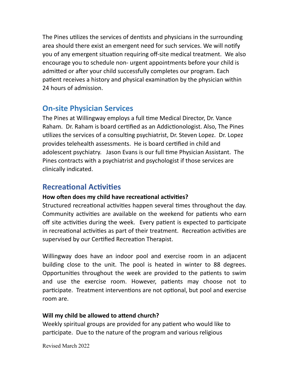The Pines utilizes the services of dentists and physicians in the surrounding area should there exist an emergent need for such services. We will notify you of any emergent situation requiring off-site medical treatment. We also encourage you to schedule non- urgent appointments before your child is admitted or after your child successfully completes our program. Each patient receives a history and physical examination by the physician within 24 hours of admission.

## **On-site Physician Services**

The Pines at Willingway employs a full time Medical Director, Dr. Vance Raham. Dr. Raham is board certified as an Addictionologist. Also, The Pines utilizes the services of a consulting psychiatrist, Dr. Steven Lopez. Dr. Lopez provides telehealth assessments. He is board certified in child and adolescent psychiatry. Jason Evans is our full time Physician Assistant. The Pines contracts with a psychiatrist and psychologist if those services are clinically indicated.

## **Recreational Activities**

### **How often does my child have recreational activities?**

Structured recreational activities happen several times throughout the day. Community activities are available on the weekend for patients who earn off site activities during the week. Every patient is expected to participate in recreational activities as part of their treatment. Recreation activities are supervised by our Certified Recreation Therapist.

Willingway does have an indoor pool and exercise room in an adjacent building close to the unit. The pool is heated in winter to 88 degrees. Opportunities throughout the week are provided to the patients to swim and use the exercise room. However, patients may choose not to participate. Treatment interventions are not optional, but pool and exercise room are.

### **Will my child be allowed to attend church?**

Weekly spiritual groups are provided for any patient who would like to participate. Due to the nature of the program and various religious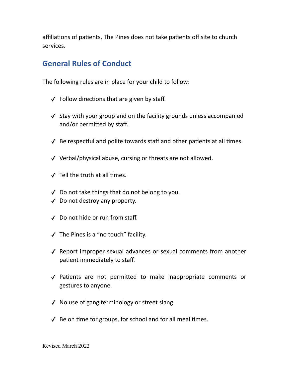affiliations of patients, The Pines does not take patients off site to church services.

### **General Rules of Conduct**

The following rules are in place for your child to follow:

- $\sqrt{\ }$  Follow directions that are given by staff.
- ✓ Stay with your group and on the facility grounds unless accompanied and/or permitted by staff.
- $\sqrt{\ }$  Be respectful and polite towards staff and other patients at all times.
- ✓ Verbal/physical abuse, cursing or threats are not allowed.
- $\sqrt{\phantom{a}}$  Tell the truth at all times.
- ✓ Do not take things that do not belong to you.
- ✓ Do not destroy any property.
- ✓ Do not hide or run from staff.
- ✓ The Pines is a "no touch" facility.
- ✓ Report improper sexual advances or sexual comments from another patient immediately to staff.
- ✓ Patients are not permitted to make inappropriate comments or gestures to anyone.
- ✓ No use of gang terminology or street slang.
- $\sqrt{\ }$  Be on time for groups, for school and for all meal times.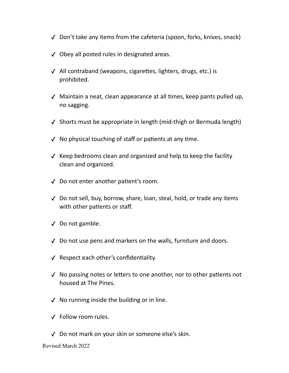- ✓ Don't take any items from the cafeteria (spoon, forks, knives, snack)
- ✓ Obey all posted rules in designated areas.
- ✓ All contraband (weapons, cigarettes, lighters, drugs, etc.) is prohibited.
- ✓ Maintain a neat, clean appearance at all times, keep pants pulled up, no sagging.
- ✓ Shorts must be appropriate in length (mid-thigh or Bermuda length)
- ✓ No physical touching of staff or patients at any time.
- ✓ Keep bedrooms clean and organized and help to keep the facility clean and organized.
- ✓ Do not enter another patient's room.
- ✓ Do not sell, buy, borrow, share, loan, steal, hold, or trade any items with other patients or staff.
- ✓ Do not gamble.
- ✓ Do not use pens and markers on the walls, furniture and doors.
- ✓ Respect each other's confidentiality.
- ✓ No passing notes or letters to one another, nor to other patients not housed at The Pines.
- $\sqrt{\ }$  No running inside the building or in line.
- ✓ Follow room rules.
- ✓ Do not mark on your skin or someone else's skin.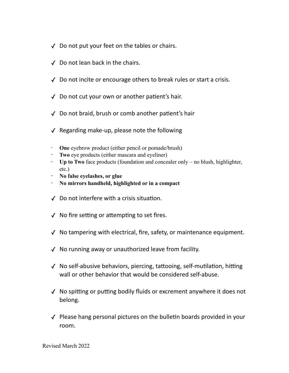- ✓ Do not put your feet on the tables or chairs.
- ✓ Do not lean back in the chairs.
- ✓ Do not incite or encourage others to break rules or start a crisis.
- ✓ Do not cut your own or another patient's hair.
- ✓ Do not braid, brush or comb another patient's hair
- ✓ Regarding make-up, please note the following
- **One** eyebrow product (either pencil or pomade/brush)
- **Two** eye products (either mascara and eyeliner)
- **Up to Two** face products (foundation and concealer only no blush, highlighter, etc.)
- **No false eyelashes, or glue**
- **No mirrors handheld, highlighted or in a compact**
- ✓ Do not interfere with a crisis situation.
- ✓ No fire setting or attempting to set fires.
- ✓ No tampering with electrical, fire, safety, or maintenance equipment.
- ✓ No running away or unauthorized leave from facility.
- ✓ No self-abusive behaviors, piercing, tattooing, self-mutilation, hitting wall or other behavior that would be considered self-abuse.
- ✓ No spitting or putting bodily fluids or excrement anywhere it does not belong.
- ✓ Please hang personal pictures on the bulletin boards provided in your room.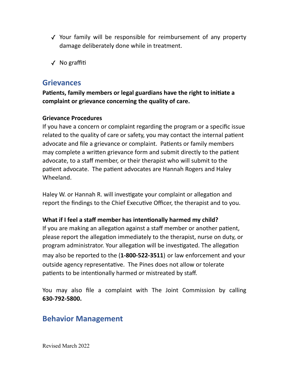- ✓ Your family will be responsible for reimbursement of any property damage deliberately done while in treatment.
- ✓ No graffiti

### **Grievances**

**Patients, family members or legal guardians have the right to initiate a complaint or grievance concerning the quality of care.**

#### **Grievance Procedures**

If you have a concern or complaint regarding the program or a specific issue related to the quality of care or safety, you may contact the internal patient advocate and file a grievance or complaint. Patients or family members may complete a written grievance form and submit directly to the patient advocate, to a staff member, or their therapist who will submit to the patient advocate. The patient advocates are Hannah Rogers and Haley Wheeland.

Haley W. or Hannah R. will investigate your complaint or allegation and report the findings to the Chief Executive Officer, the therapist and to you.

#### **What if I feel a staff member has intentionally harmed my child?**

If you are making an allegation against a staff member or another patient, please report the allegation immediately to the therapist, nurse on duty, or program administrator. Your allegation will be investigated. The allegation may also be reported to the (**1-800-522-3511**) or law enforcement and your outside agency representative. The Pines does not allow or tolerate patients to be intentionally harmed or mistreated by staff.

You may also file a complaint with The Joint Commission by calling **630-792-5800.**

### **Behavior Management**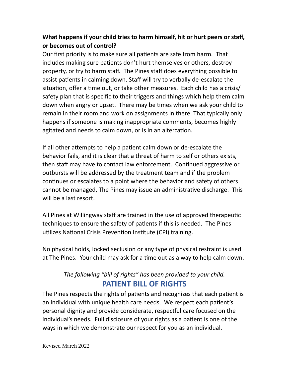### **What happens if your child tries to harm himself, hit or hurt peers or staff, or becomes out of control?**

Our first priority is to make sure all patients are safe from harm. That includes making sure patients don't hurt themselves or others, destroy property, or try to harm staff. The Pines staff does everything possible to assist patients in calming down. Staff will try to verbally de-escalate the situation, offer a time out, or take other measures. Each child has a crisis/ safety plan that is specific to their triggers and things which help them calm down when angry or upset. There may be times when we ask your child to remain in their room and work on assignments in there. That typically only happens if someone is making inappropriate comments, becomes highly agitated and needs to calm down, or is in an altercation.

If all other attempts to help a patient calm down or de-escalate the behavior fails, and it is clear that a threat of harm to self or others exists, then staff may have to contact law enforcement. Continued aggressive or outbursts will be addressed by the treatment team and if the problem continues or escalates to a point where the behavior and safety of others cannot be managed, The Pines may issue an administrative discharge. This will be a last resort.

All Pines at Willingway staff are trained in the use of approved therapeutic techniques to ensure the safety of patients if this is needed. The Pines utilizes National Crisis Prevention Institute (CPI) training.

No physical holds, locked seclusion or any type of physical restraint is used at The Pines. Your child may ask for a time out as a way to help calm down.

### *The following "bill of rights" has been provided to your child.* **PATIENT BILL OF RIGHTS**

The Pines respects the rights of patients and recognizes that each patient is an individual with unique health care needs. We respect each patient's personal dignity and provide considerate, respectful care focused on the individual's needs. Full disclosure of your rights as a patient is one of the ways in which we demonstrate our respect for you as an individual.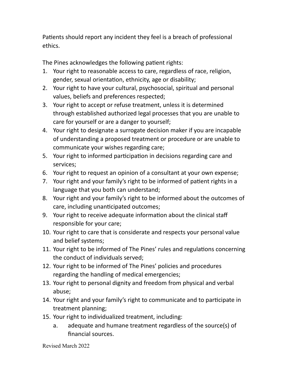Patients should report any incident they feel is a breach of professional ethics.

The Pines acknowledges the following patient rights:

- 1. Your right to reasonable access to care, regardless of race, religion, gender, sexual orientation, ethnicity, age or disability;
- 2. Your right to have your cultural, psychosocial, spiritual and personal values, beliefs and preferences respected;
- 3. Your right to accept or refuse treatment, unless it is determined through established authorized legal processes that you are unable to care for yourself or are a danger to yourself;
- 4. Your right to designate a surrogate decision maker if you are incapable of understanding a proposed treatment or procedure or are unable to communicate your wishes regarding care;
- 5. Your right to informed participation in decisions regarding care and services;
- 6. Your right to request an opinion of a consultant at your own expense;
- 7. Your right and your family's right to be informed of patient rights in a language that you both can understand;
- 8. Your right and your family's right to be informed about the outcomes of care, including unanticipated outcomes;
- 9. Your right to receive adequate information about the clinical staff responsible for your care;
- 10. Your right to care that is considerate and respects your personal value and belief systems;
- 11. Your right to be informed of The Pines' rules and regulations concerning the conduct of individuals served;
- 12. Your right to be informed of The Pines' policies and procedures regarding the handling of medical emergencies;
- 13. Your right to personal dignity and freedom from physical and verbal abuse;
- 14. Your right and your family's right to communicate and to participate in treatment planning;
- 15. Your right to individualized treatment, including:
	- a. adequate and humane treatment regardless of the source(s) of financial sources.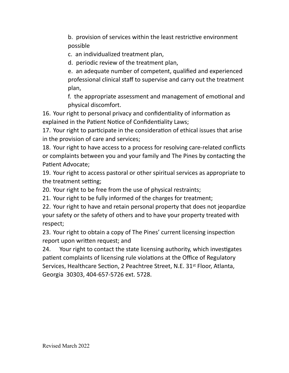b. provision of services within the least restrictive environment possible

c. an individualized treatment plan,

d. periodic review of the treatment plan,

e. an adequate number of competent, qualified and experienced professional clinical staff to supervise and carry out the treatment plan,

f. the appropriate assessment and management of emotional and physical discomfort.

16. Your right to personal privacy and confidentiality of information as explained in the Patient Notice of Confidentiality Laws;

17. Your right to participate in the consideration of ethical issues that arise in the provision of care and services;

18. Your right to have access to a process for resolving care-related conflicts or complaints between you and your family and The Pines by contacting the Patient Advocate;

19. Your right to access pastoral or other spiritual services as appropriate to the treatment setting;

20. Your right to be free from the use of physical restraints;

21. Your right to be fully informed of the charges for treatment;

22. Your right to have and retain personal property that does not jeopardize your safety or the safety of others and to have your property treated with respect;

23. Your right to obtain a copy of The Pines' current licensing inspection report upon written request; and

24. Your right to contact the state licensing authority, which investigates patient complaints of licensing rule violations at the Office of Regulatory Services, Healthcare Section, 2 Peachtree Street, N.E. 31<sup>st</sup> Floor, Atlanta, Georgia 30303, 404-657-5726 ext. 5728.